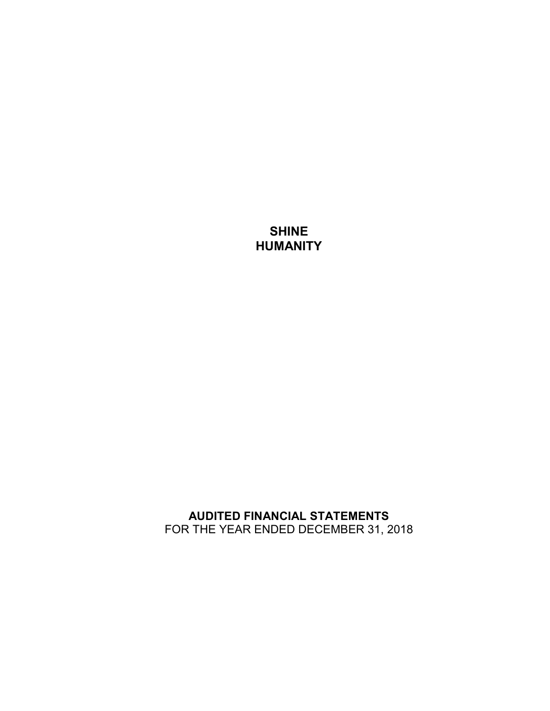# **SHINE HUMANITY**

## **AUDITED FINANCIAL STATEMENTS**  FOR THE YEAR ENDED DECEMBER 31, 2018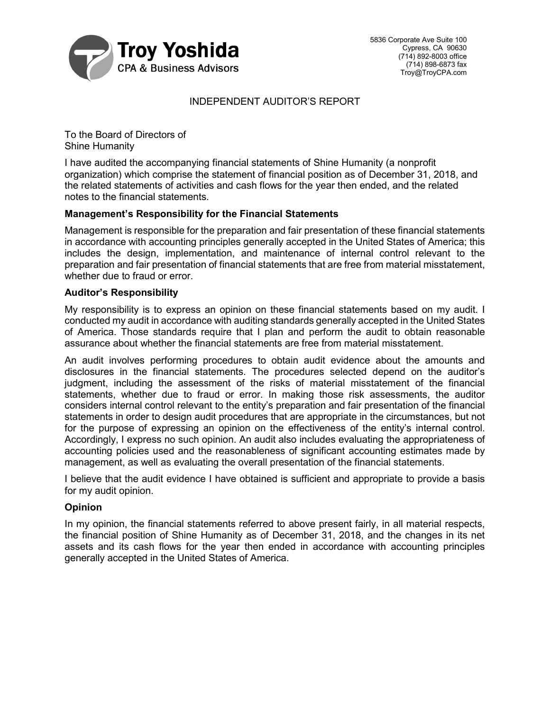

## INDEPENDENT AUDITOR'S REPORT

To the Board of Directors of Shine Humanity

I have audited the accompanying financial statements of Shine Humanity (a nonprofit organization) which comprise the statement of financial position as of December 31, 2018, and the related statements of activities and cash flows for the year then ended, and the related notes to the financial statements.

## **Management's Responsibility for the Financial Statements**

Management is responsible for the preparation and fair presentation of these financial statements in accordance with accounting principles generally accepted in the United States of America; this includes the design, implementation, and maintenance of internal control relevant to the preparation and fair presentation of financial statements that are free from material misstatement, whether due to fraud or error.

### **Auditor's Responsibility**

My responsibility is to express an opinion on these financial statements based on my audit. I conducted my audit in accordance with auditing standards generally accepted in the United States of America. Those standards require that I plan and perform the audit to obtain reasonable assurance about whether the financial statements are free from material misstatement.

An audit involves performing procedures to obtain audit evidence about the amounts and disclosures in the financial statements. The procedures selected depend on the auditor's judgment, including the assessment of the risks of material misstatement of the financial statements, whether due to fraud or error. In making those risk assessments, the auditor considers internal control relevant to the entity's preparation and fair presentation of the financial statements in order to design audit procedures that are appropriate in the circumstances, but not for the purpose of expressing an opinion on the effectiveness of the entity's internal control. Accordingly, I express no such opinion. An audit also includes evaluating the appropriateness of accounting policies used and the reasonableness of significant accounting estimates made by management, as well as evaluating the overall presentation of the financial statements.

I believe that the audit evidence I have obtained is sufficient and appropriate to provide a basis for my audit opinion.

## **Opinion**

In my opinion, the financial statements referred to above present fairly, in all material respects, the financial position of Shine Humanity as of December 31, 2018, and the changes in its net assets and its cash flows for the year then ended in accordance with accounting principles generally accepted in the United States of America.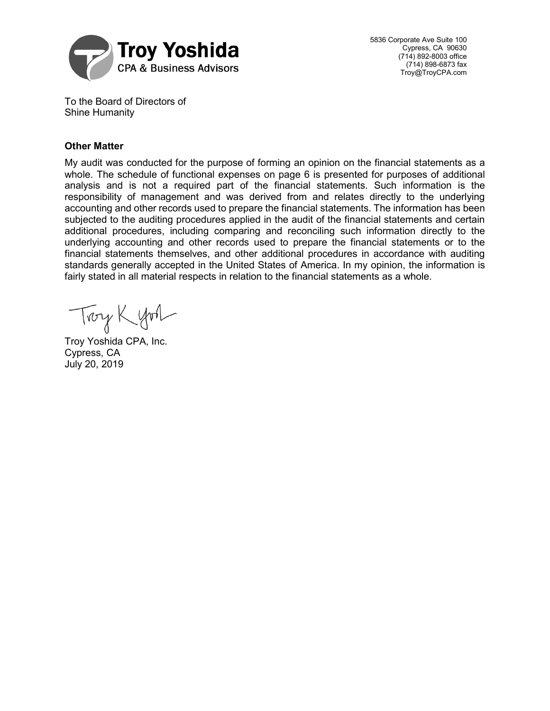

5836 Corporate Ave Suite 100 Cypress, CA 90630 (714) 892-8003 office (714) 898-6873 fax Troy@TroyCPA.com

To the Board of Directors of Shine Humanity

## **Other Matter**

My audit was conducted for the purpose of forming an opinion on the financial statements as a whole. The schedule of functional expenses on page 6 is presented for purposes of additional analysis and is not a required part of the financial statements. Such information is the responsibility of management and was derived from and relates directly to the underlying accounting and other records used to prepare the financial statements. The information has been subjected to the auditing procedures applied in the audit of the financial statements and certain additional procedures, including comparing and reconciling such information directly to the underlying accounting and other records used to prepare the financial statements or to the financial statements themselves, and other additional procedures in accordance with auditing standards generally accepted in the United States of America. In my opinion, the information is fairly stated in all material respects in relation to the financial statements as a whole.

Trong Kyon

Troy Yoshida CPA, Inc. Cypress, CA July 20, 2019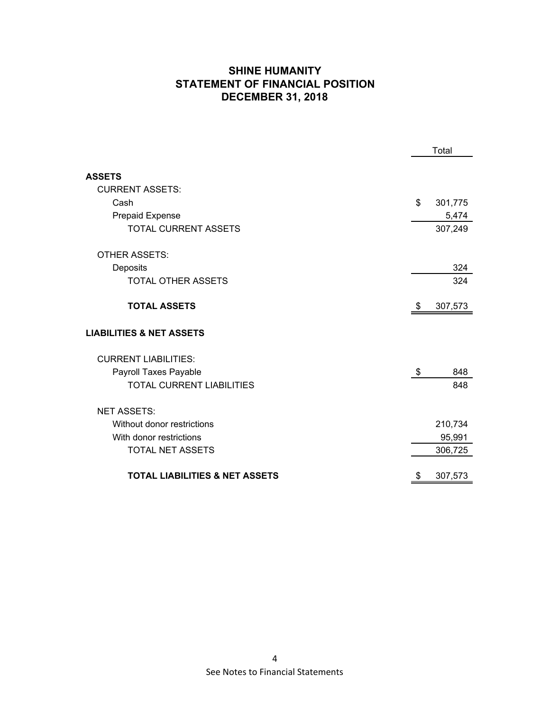## **SHINE HUMANITY STATEMENT OF FINANCIAL POSITION DECEMBER 31, 2018**

|                                           | Total |         |
|-------------------------------------------|-------|---------|
| <b>ASSETS</b>                             |       |         |
| <b>CURRENT ASSETS:</b>                    |       |         |
| Cash                                      | \$    | 301,775 |
| Prepaid Expense                           |       | 5,474   |
| TOTAL CURRENT ASSETS                      |       | 307,249 |
| <b>OTHER ASSETS:</b>                      |       |         |
| Deposits                                  |       | 324     |
| <b>TOTAL OTHER ASSETS</b>                 |       | 324     |
| <b>TOTAL ASSETS</b>                       | \$    | 307,573 |
| <b>LIABILITIES &amp; NET ASSETS</b>       |       |         |
| <b>CURRENT LIABILITIES:</b>               |       |         |
| Payroll Taxes Payable                     | \$    | 848     |
| <b>TOTAL CURRENT LIABILITIES</b>          |       | 848     |
| <b>NET ASSETS:</b>                        |       |         |
| Without donor restrictions                |       | 210,734 |
| With donor restrictions                   |       | 95,991  |
| <b>TOTAL NET ASSETS</b>                   |       | 306,725 |
| <b>TOTAL LIABILITIES &amp; NET ASSETS</b> | \$    | 307,573 |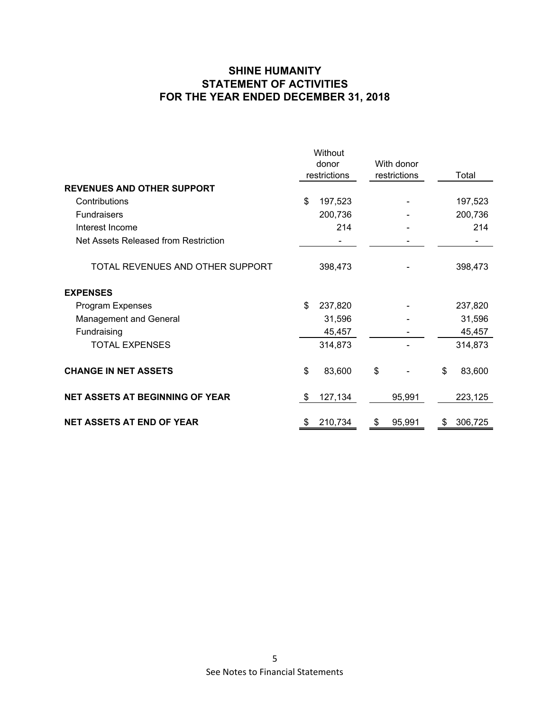## **SHINE HUMANITY STATEMENT OF ACTIVITIES FOR THE YEAR ENDED DECEMBER 31, 2018**

|                                        |              | Without |            |              |    |         |
|----------------------------------------|--------------|---------|------------|--------------|----|---------|
|                                        | donor        |         | With donor |              |    |         |
|                                        | restrictions |         |            | restrictions |    | Total   |
| <b>REVENUES AND OTHER SUPPORT</b>      |              |         |            |              |    |         |
| Contributions                          | \$           | 197,523 |            |              |    | 197,523 |
| Fundraisers                            |              | 200,736 |            |              |    | 200,736 |
| Interest Income                        |              | 214     |            |              |    | 214     |
| Net Assets Released from Restriction   |              |         |            |              |    |         |
| TOTAL REVENUES AND OTHER SUPPORT       |              | 398,473 |            |              |    | 398,473 |
| <b>EXPENSES</b>                        |              |         |            |              |    |         |
| Program Expenses                       | \$           | 237,820 |            |              |    | 237,820 |
| <b>Management and General</b>          |              | 31,596  |            |              |    | 31,596  |
| Fundraising                            |              | 45,457  |            |              |    | 45,457  |
| <b>TOTAL EXPENSES</b>                  |              | 314,873 |            |              |    | 314,873 |
| <b>CHANGE IN NET ASSETS</b>            | \$           | 83,600  | \$         |              | \$ | 83,600  |
| <b>NET ASSETS AT BEGINNING OF YEAR</b> | \$           | 127,134 |            | 95,991       |    | 223,125 |
| <b>NET ASSETS AT END OF YEAR</b>       | \$           | 210,734 | \$         | 95,991       | \$ | 306,725 |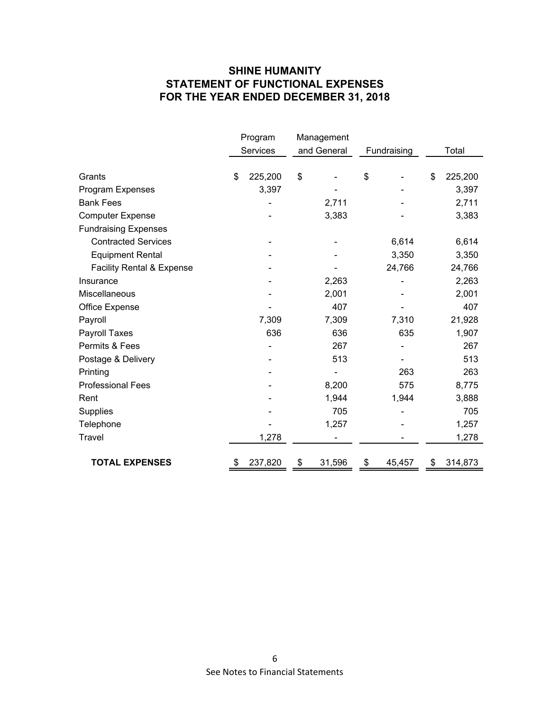## **SHINE HUMANITY STATEMENT OF FUNCTIONAL EXPENSES FOR THE YEAR ENDED DECEMBER 31, 2018**

|                                      | Program       | Management  |        |             |        |       |         |
|--------------------------------------|---------------|-------------|--------|-------------|--------|-------|---------|
|                                      | Services      | and General |        | Fundraising |        | Total |         |
|                                      |               |             |        |             |        |       |         |
| Grants                               | \$<br>225,200 | \$          |        | \$          |        | \$    | 225,200 |
| Program Expenses                     | 3,397         |             |        |             |        |       | 3,397   |
| <b>Bank Fees</b>                     |               |             | 2,711  |             |        |       | 2,711   |
| <b>Computer Expense</b>              |               |             | 3,383  |             |        |       | 3,383   |
| <b>Fundraising Expenses</b>          |               |             |        |             |        |       |         |
| <b>Contracted Services</b>           |               |             |        |             | 6,614  |       | 6,614   |
| <b>Equipment Rental</b>              |               |             |        |             | 3,350  |       | 3,350   |
| <b>Facility Rental &amp; Expense</b> |               |             |        |             | 24,766 |       | 24,766  |
| Insurance                            |               |             | 2,263  |             |        |       | 2,263   |
| Miscellaneous                        |               |             | 2,001  |             |        |       | 2,001   |
| Office Expense                       |               |             | 407    |             |        |       | 407     |
| Payroll                              | 7,309         |             | 7,309  |             | 7,310  |       | 21,928  |
| Payroll Taxes                        | 636           |             | 636    |             | 635    |       | 1,907   |
| Permits & Fees                       |               |             | 267    |             |        |       | 267     |
| Postage & Delivery                   |               |             | 513    |             |        |       | 513     |
| Printing                             |               |             |        |             | 263    |       | 263     |
| <b>Professional Fees</b>             |               |             | 8,200  |             | 575    |       | 8,775   |
| Rent                                 |               |             | 1,944  |             | 1,944  |       | 3,888   |
| Supplies                             |               |             | 705    |             |        |       | 705     |
| Telephone                            |               |             | 1,257  |             |        |       | 1,257   |
| Travel                               | 1,278         |             |        |             |        |       | 1,278   |
|                                      |               |             |        |             |        |       |         |
| <b>TOTAL EXPENSES</b>                | 237,820       | \$          | 31,596 | \$          | 45,457 | \$    | 314,873 |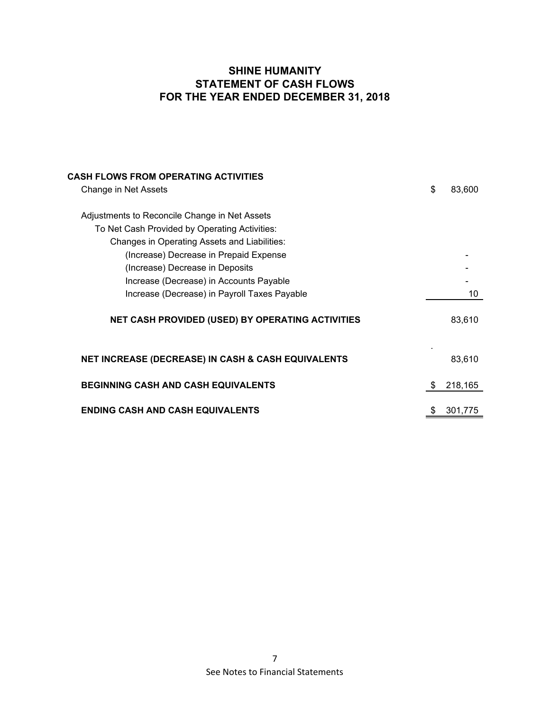## **SHINE HUMANITY STATEMENT OF CASH FLOWS FOR THE YEAR ENDED DECEMBER 31, 2018**

| <b>CASH FLOWS FROM OPERATING ACTIVITIES</b>                   |               |
|---------------------------------------------------------------|---------------|
| Change in Net Assets                                          | \$<br>83,600  |
|                                                               |               |
| Adjustments to Reconcile Change in Net Assets                 |               |
| To Net Cash Provided by Operating Activities:                 |               |
| Changes in Operating Assets and Liabilities:                  |               |
| (Increase) Decrease in Prepaid Expense                        |               |
| (Increase) Decrease in Deposits                               |               |
| Increase (Decrease) in Accounts Payable                       |               |
| Increase (Decrease) in Payroll Taxes Payable                  | 10            |
| <b>NET CASH PROVIDED (USED) BY OPERATING ACTIVITIES</b>       | 83,610        |
| <b>NET INCREASE (DECREASE) IN CASH &amp; CASH EQUIVALENTS</b> | 83,610        |
| <b>BEGINNING CASH AND CASH EQUIVALENTS</b>                    | \$<br>218,165 |
| <b>ENDING CASH AND CASH EQUIVALENTS</b>                       | 301,775       |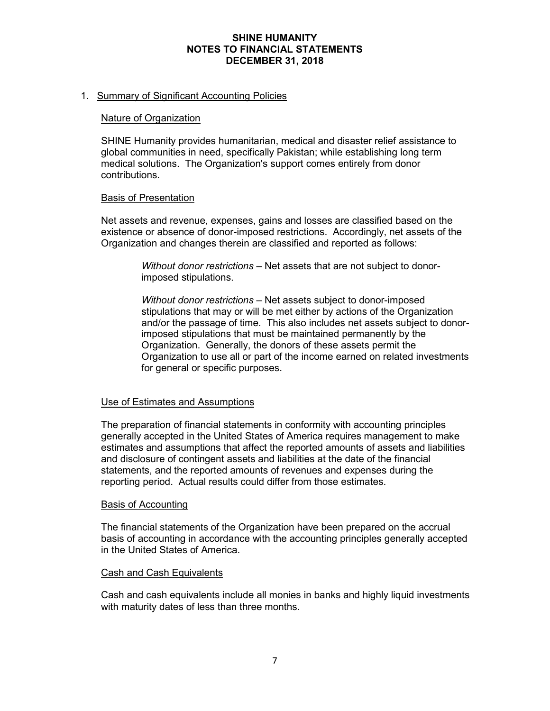## **SHINE HUMANITY NOTES TO FINANCIAL STATEMENTS DECEMBER 31, 2018**

#### 1. Summary of Significant Accounting Policies

#### Nature of Organization

SHINE Humanity provides humanitarian, medical and disaster relief assistance to global communities in need, specifically Pakistan; while establishing long term medical solutions. The Organization's support comes entirely from donor contributions.

#### Basis of Presentation

Net assets and revenue, expenses, gains and losses are classified based on the existence or absence of donor-imposed restrictions. Accordingly, net assets of the Organization and changes therein are classified and reported as follows:

> *Without donor restrictions* – Net assets that are not subject to donorimposed stipulations.

*Without donor restrictions* – Net assets subject to donor-imposed stipulations that may or will be met either by actions of the Organization and/or the passage of time. This also includes net assets subject to donorimposed stipulations that must be maintained permanently by the Organization. Generally, the donors of these assets permit the Organization to use all or part of the income earned on related investments for general or specific purposes.

#### Use of Estimates and Assumptions

The preparation of financial statements in conformity with accounting principles generally accepted in the United States of America requires management to make estimates and assumptions that affect the reported amounts of assets and liabilities and disclosure of contingent assets and liabilities at the date of the financial statements, and the reported amounts of revenues and expenses during the reporting period. Actual results could differ from those estimates.

#### Basis of Accounting

The financial statements of the Organization have been prepared on the accrual basis of accounting in accordance with the accounting principles generally accepted in the United States of America.

#### **Cash and Cash Equivalents**

Cash and cash equivalents include all monies in banks and highly liquid investments with maturity dates of less than three months.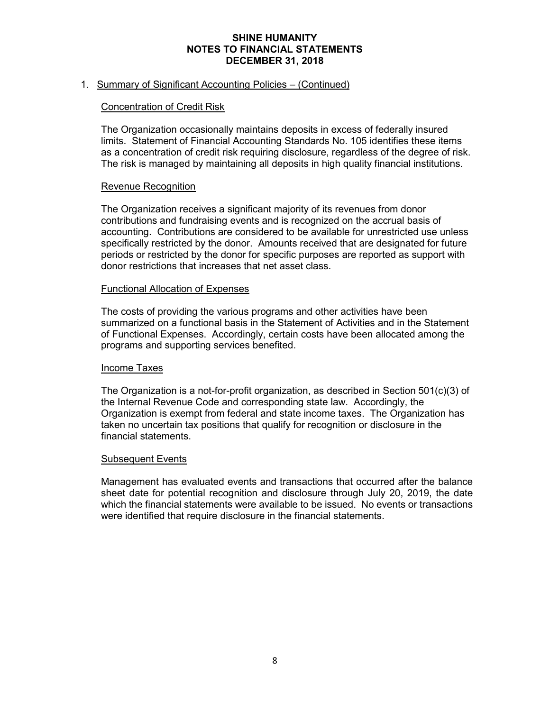## **SHINE HUMANITY NOTES TO FINANCIAL STATEMENTS DECEMBER 31, 2018**

### 1. Summary of Significant Accounting Policies – (Continued)

#### Concentration of Credit Risk

The Organization occasionally maintains deposits in excess of federally insured limits. Statement of Financial Accounting Standards No. 105 identifies these items as a concentration of credit risk requiring disclosure, regardless of the degree of risk. The risk is managed by maintaining all deposits in high quality financial institutions.

#### Revenue Recognition

The Organization receives a significant majority of its revenues from donor contributions and fundraising events and is recognized on the accrual basis of accounting. Contributions are considered to be available for unrestricted use unless specifically restricted by the donor. Amounts received that are designated for future periods or restricted by the donor for specific purposes are reported as support with donor restrictions that increases that net asset class.

#### Functional Allocation of Expenses

The costs of providing the various programs and other activities have been summarized on a functional basis in the Statement of Activities and in the Statement of Functional Expenses. Accordingly, certain costs have been allocated among the programs and supporting services benefited.

#### Income Taxes

The Organization is a not-for-profit organization, as described in Section 501(c)(3) of the Internal Revenue Code and corresponding state law. Accordingly, the Organization is exempt from federal and state income taxes. The Organization has taken no uncertain tax positions that qualify for recognition or disclosure in the financial statements.

#### Subsequent Events

Management has evaluated events and transactions that occurred after the balance sheet date for potential recognition and disclosure through July 20, 2019, the date which the financial statements were available to be issued. No events or transactions were identified that require disclosure in the financial statements.